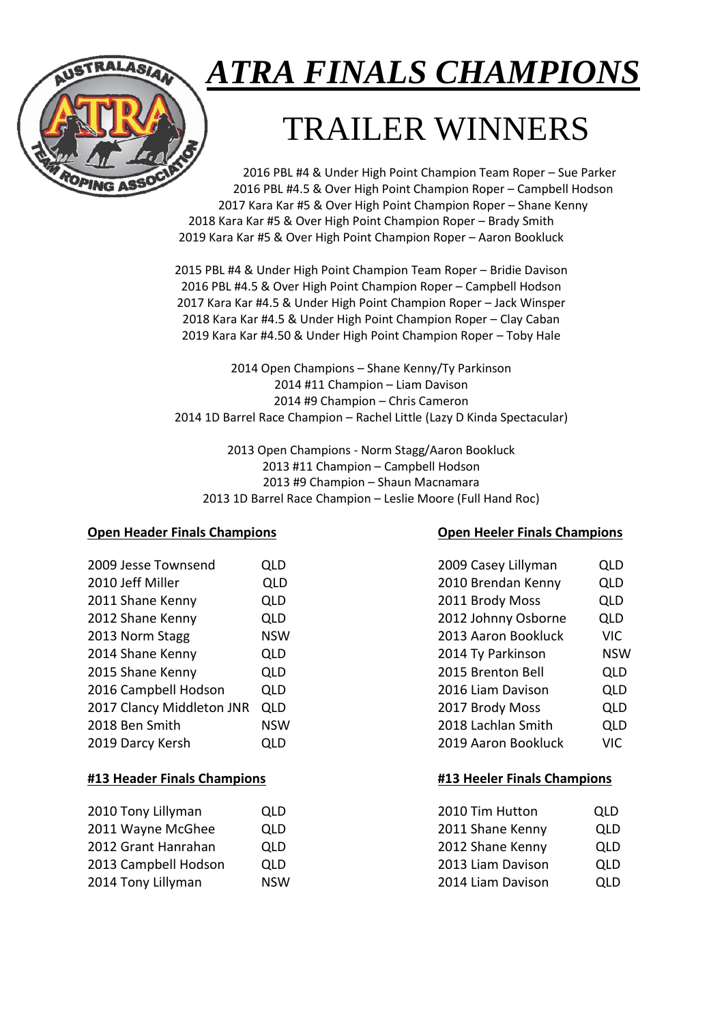# *ATRA FINALS CHAMPIONS*

# TRAILER WINNERS

2016 PBL #4 & Under High Point Champion Team Roper – Sue Parker 2016 PBL #4.5 & Over High Point Champion Roper – Campbell Hodson 2017 Kara Kar #5 & Over High Point Champion Roper – Shane Kenny 2018 Kara Kar #5 & Over High Point Champion Roper – Brady Smith 2019 Kara Kar #5 & Over High Point Champion Roper – Aaron Bookluck

2015 PBL #4 & Under High Point Champion Team Roper – Bridie Davison 2016 PBL #4.5 & Over High Point Champion Roper – Campbell Hodson 2017 Kara Kar #4.5 & Under High Point Champion Roper – Jack Winsper 2018 Kara Kar #4.5 & Under High Point Champion Roper – Clay Caban 2019 Kara Kar #4.50 & Under High Point Champion Roper – Toby Hale

2014 Open Champions – Shane Kenny/Ty Parkinson 2014 #11 Champion – Liam Davison 2014 #9 Champion – Chris Cameron 2014 1D Barrel Race Champion – Rachel Little (Lazy D Kinda Spectacular)

2013 Open Champions - Norm Stagg/Aaron Bookluck 2013 #11 Champion – Campbell Hodson 2013 #9 Champion – Shaun Macnamara 2013 1D Barrel Race Champion – Leslie Moore (Full Hand Roc)

# **Open Header Finals Champions Open Heeler Finals Champions**

| 2009 Jesse Townsend       | QLD        | 2009 Casey Lillyman | QLD        |
|---------------------------|------------|---------------------|------------|
| 2010 Jeff Miller          | <b>QLD</b> | 2010 Brendan Kenny  | <b>QLD</b> |
| 2011 Shane Kenny          | <b>QLD</b> | 2011 Brody Moss     | QLD        |
| 2012 Shane Kenny          | <b>QLD</b> | 2012 Johnny Osborne | <b>QLD</b> |
| 2013 Norm Stagg           | <b>NSW</b> | 2013 Aaron Bookluck | VIC.       |
| 2014 Shane Kenny          | <b>QLD</b> | 2014 Ty Parkinson   | <b>NSW</b> |
| 2015 Shane Kenny          | <b>QLD</b> | 2015 Brenton Bell   | <b>QLD</b> |
| 2016 Campbell Hodson      | <b>QLD</b> | 2016 Liam Davison   | <b>QLD</b> |
| 2017 Clancy Middleton JNR | QLD        | 2017 Brody Moss     | <b>QLD</b> |
| 2018 Ben Smith            | <b>NSW</b> | 2018 Lachlan Smith  | <b>QLD</b> |
| 2019 Darcy Kersh          | <b>QLD</b> | 2019 Aaron Bookluck | VIC        |

# **#13 Header Finals Champions #13 Heeler Finals Champions**

| 2010 Tony Lillyman   | QLD        | 2010 Tim Hutton   | QLD |
|----------------------|------------|-------------------|-----|
| 2011 Wayne McGhee    | QLD        | 2011 Shane Kenny  | QLD |
| 2012 Grant Hanrahan  | QLD        | 2012 Shane Kenny  | QLD |
| 2013 Campbell Hodson | QLD        | 2013 Liam Davison | QLD |
| 2014 Tony Lillyman   | <b>NSW</b> | 2014 Liam Davison | QLD |

| 2009 Jesse Townsend       | QLD        | 2009 Casey Lillyman | QLD        |
|---------------------------|------------|---------------------|------------|
| 2010 Jeff Miller          | <b>QLD</b> | 2010 Brendan Kenny  | QLD        |
| 2011 Shane Kenny          | <b>QLD</b> | 2011 Brody Moss     | QLD        |
| 2012 Shane Kenny          | <b>QLD</b> | 2012 Johnny Osborne | QLD        |
| 2013 Norm Stagg           | <b>NSW</b> | 2013 Aaron Bookluck | <b>VIC</b> |
| 2014 Shane Kenny          | <b>QLD</b> | 2014 Ty Parkinson   | <b>NSW</b> |
| 2015 Shane Kenny          | <b>QLD</b> | 2015 Brenton Bell   | <b>QLD</b> |
| 2016 Campbell Hodson      | <b>QLD</b> | 2016 Liam Davison   | <b>QLD</b> |
| 2017 Clancy Middleton JNR | <b>QLD</b> | 2017 Brody Moss     | <b>QLD</b> |
| 2018 Ben Smith            | <b>NSW</b> | 2018 Lachlan Smith  | <b>QLD</b> |
| 2019 Darcy Kersh          | <b>QLD</b> | 2019 Aaron Bookluck | <b>VIC</b> |
|                           |            |                     |            |

| 2010 Tim Hutton   | QLD |
|-------------------|-----|
| 2011 Shane Kenny  | QLD |
| 2012 Shane Kenny  | QLD |
| 2013 Liam Davison | QLD |
| 2014 Liam Davison | OLD |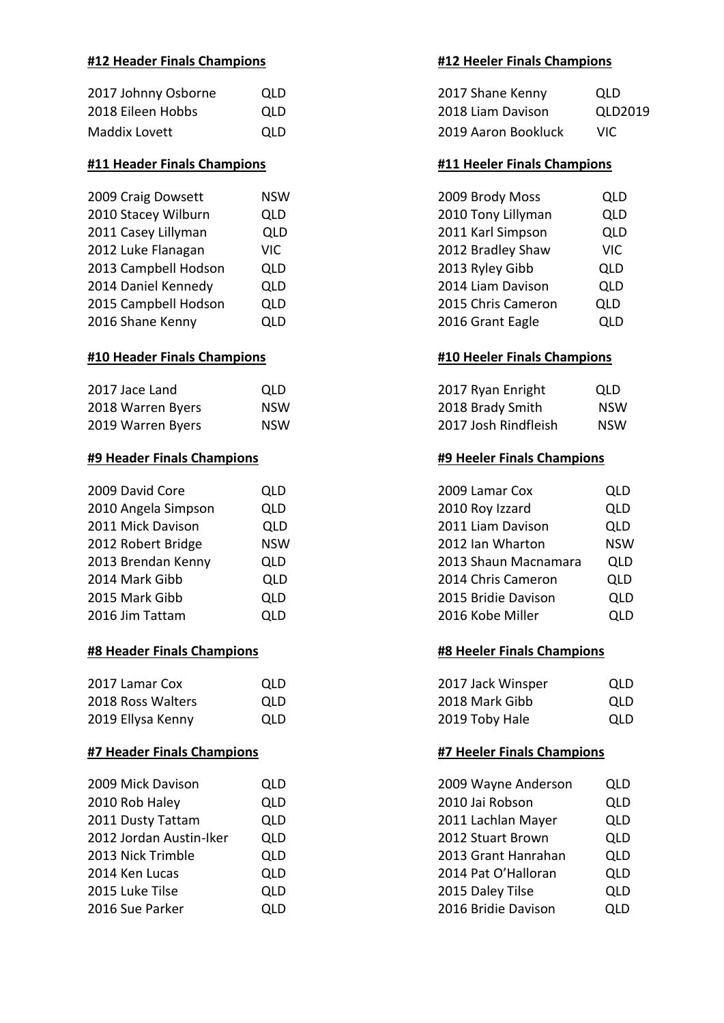# **#12 Header Finals Champions #12 Heeler Finals Champions**

| 2017 Johnny Osborne | OLD. | 2017 Shane Kenny    | QLD  |
|---------------------|------|---------------------|------|
| 2018 Eileen Hobbs   | OLD. | 2018 Liam Davison   | QLD  |
| Maddix Lovett       | OLD. | 2019 Aaron Bookluck | VIC. |

### **#11 Header Finals Champions #11 Heeler Finals Champions**

| 2009 Craig Dowsett   | <b>NSW</b> | 2009 Brody Moss    | QLD        |
|----------------------|------------|--------------------|------------|
| 2010 Stacey Wilburn  | <b>QLD</b> | 2010 Tony Lillyman | QLD        |
| 2011 Casey Lillyman  | QLD        | 2011 Karl Simpson  | <b>QLD</b> |
| 2012 Luke Flanagan   | <b>VIC</b> | 2012 Bradley Shaw  | VIC.       |
| 2013 Campbell Hodson | <b>QLD</b> | 2013 Ryley Gibb    | <b>QLD</b> |
| 2014 Daniel Kennedy  | <b>QLD</b> | 2014 Liam Davison  | QLD        |
| 2015 Campbell Hodson | <b>QLD</b> | 2015 Chris Cameron | QLD        |
| 2016 Shane Kenny     | <b>QLD</b> | 2016 Grant Eagle   | <b>QLD</b> |
|                      |            |                    |            |

### **#10 Header Finals Champions #10 Heeler Finals Champions**

| 2017 Jace Land    | <b>OLD</b> | 2017 Ryan Enright    | QLD.       |
|-------------------|------------|----------------------|------------|
| 2018 Warren Byers | NSW        | 2018 Brady Smith     | <b>NSW</b> |
| 2019 Warren Byers | NSW        | 2017 Josh Rindfleish | <b>NSW</b> |

### **#9 Header Finals Champions #9 Heeler Finals Champions**

| 2009 David Core     | <b>QLD</b> | 2009 Lamar Cox       | <b>QLD</b> |
|---------------------|------------|----------------------|------------|
| 2010 Angela Simpson | <b>QLD</b> | 2010 Roy Izzard      | QLD        |
| 2011 Mick Davison   | <b>QLD</b> | 2011 Liam Davison    | QLD        |
| 2012 Robert Bridge  | <b>NSW</b> | 2012 Ian Wharton     | <b>NSW</b> |
| 2013 Brendan Kenny  | <b>QLD</b> | 2013 Shaun Macnamara | QLD        |
| 2014 Mark Gibb      | <b>QLD</b> | 2014 Chris Cameron   | QLD        |
| 2015 Mark Gibb      | <b>QLD</b> | 2015 Bridie Davison  | <b>QLD</b> |
| 2016 Jim Tattam     | <b>QLD</b> | 2016 Kobe Miller     | <b>QLD</b> |
|                     |            |                      |            |

# **#8 Header Finals Champions #8 Heeler Finals Champions**

| 2017 Lamar Cox    | OLD. | 2017 Jack Winsper | QLD |
|-------------------|------|-------------------|-----|
| 2018 Ross Walters | OLD. | 2018 Mark Gibb    | QLD |
| 2019 Ellysa Kenny | QLD. | 2019 Toby Hale    | QLD |

### **#7 Header Finals Champions #7 Heeler Finals Champions**

| 2010 Rob Haley<br>2010 Jai Robson<br><b>QLD</b><br>2011 Dusty Tattam<br>2011 Lachlan Mayer<br><b>QLD</b><br>2012 Jordan Austin-Iker<br>2012 Stuart Brown<br><b>QLD</b><br>2013 Nick Trimble<br>2013 Grant Hanrahan<br><b>QLD</b><br>2014 Pat O'Halloran<br>2014 Ken Lucas<br><b>QLD</b><br>2015 Daley Tilse<br>2015 Luke Tilse<br><b>QLD</b><br>2016 Bridie Davison<br>2016 Sue Parker<br><b>QLD</b> | 2009 Mick Davison | <b>QLD</b> | 2009 Wayne Anderson | QLD        |
|------------------------------------------------------------------------------------------------------------------------------------------------------------------------------------------------------------------------------------------------------------------------------------------------------------------------------------------------------------------------------------------------------|-------------------|------------|---------------------|------------|
|                                                                                                                                                                                                                                                                                                                                                                                                      |                   |            |                     | QLD        |
|                                                                                                                                                                                                                                                                                                                                                                                                      |                   |            |                     | QLD        |
|                                                                                                                                                                                                                                                                                                                                                                                                      |                   |            |                     | QLD        |
|                                                                                                                                                                                                                                                                                                                                                                                                      |                   |            |                     | QLD        |
|                                                                                                                                                                                                                                                                                                                                                                                                      |                   |            |                     | QLD        |
|                                                                                                                                                                                                                                                                                                                                                                                                      |                   |            |                     | QLD        |
|                                                                                                                                                                                                                                                                                                                                                                                                      |                   |            |                     | <b>QLD</b> |

| 2017 Johnny Osborne | OLD        | 2017 Shane Kenny    | QLD     |
|---------------------|------------|---------------------|---------|
| 2018 Eileen Hobbs   | OLD.       | 2018 Liam Davison   | QLD2019 |
| Maddix Lovett       | <b>OLD</b> | 2019 Aaron Bookluck | VIC.    |

| 2009 Brody Moss    | <b>QLD</b> |
|--------------------|------------|
| 2010 Tony Lillyman | QLD        |
| 2011 Karl Simpson  | QLD        |
| 2012 Bradley Shaw  | <b>VIC</b> |
| 2013 Ryley Gibb    | QLD        |
| 2014 Liam Davison  | <b>QLD</b> |
| 2015 Chris Cameron | QLD        |
| 2016 Grant Eagle   | <b>QLD</b> |

| 2017 Ryan Enright    | QLD        |
|----------------------|------------|
| 2018 Brady Smith     | <b>NSW</b> |
| 2017 Josh Rindfleish | <b>NSW</b> |

| 2009 Lamar Cox       | QLD        |
|----------------------|------------|
| 2010 Roy Izzard      | QLD        |
| 2011 Liam Davison    | QLD        |
| 2012 Ian Wharton     | <b>NSW</b> |
| 2013 Shaun Macnamara | QLD        |
| 2014 Chris Cameron   | <b>QLD</b> |
| 2015 Bridie Davison  | QLD        |
| 2016 Kobe Miller     | OLD        |

| 2017 Jack Winsper | QLD        |
|-------------------|------------|
| 2018 Mark Gibb    | QLD        |
| 2019 Toby Hale    | <b>OLD</b> |

| 2009 Wayne Anderson | <b>QLD</b> |
|---------------------|------------|
| 2010 Jai Robson     | QLD        |
| 2011 Lachlan Mayer  | <b>QLD</b> |
| 2012 Stuart Brown   | <b>QLD</b> |
| 2013 Grant Hanrahan | QLD        |
| 2014 Pat O'Halloran | QLD        |
| 2015 Daley Tilse    | <b>QLD</b> |
| 2016 Bridie Davison | <b>QLD</b> |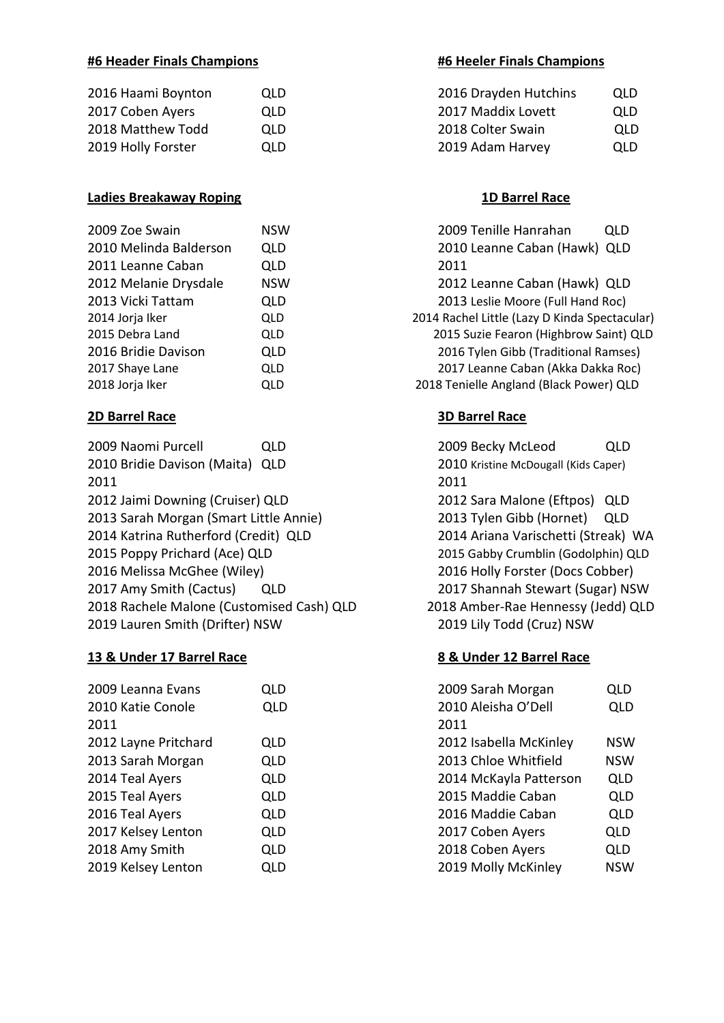# **#6 Header Finals Champions #6 Heeler Finals Champions**

| 2016 Haami Boynton | QLD.       | 2016 Drayden Hutchins | QLD |
|--------------------|------------|-----------------------|-----|
| 2017 Coben Ayers   | OLD.       | 2017 Maddix Lovett    | QLD |
| 2018 Matthew Todd  | <b>OLD</b> | 2018 Colter Swain     | QLD |
| 2019 Holly Forster | OLD.       | 2019 Adam Harvey      | QLD |

# **Ladies Breakaway Roping 1D Barrel Race**

| 2009 Zoe Swain         | <b>NSW</b> | 2009      |
|------------------------|------------|-----------|
| 2010 Melinda Balderson | QLD        | 2010      |
| 2011 Leanne Caban      | QLD        | 2011      |
| 2012 Melanie Drysdale  | <b>NSW</b> | 2012      |
| 2013 Vicki Tattam      | QLD        | 2013      |
| 2014 Jorja Iker        | QLD        | 2014 Rach |
| 2015 Debra Land        | QLD        | 2015 9    |
| 2016 Bridie Davison    | <b>QLD</b> | 2016      |
| 2017 Shaye Lane        | <b>QLD</b> | 2017      |
| 2018 Jorja Iker        | QLD        | 2018 Teni |

# **2D Barrel Race 3D Barrel Race**

| 2009 Naomi Purcell                        | QLD | 2009   |
|-------------------------------------------|-----|--------|
| 2010 Bridie Davison (Maita)               | QLD | 2010   |
| 2011                                      |     | 2011   |
| 2012 Jaimi Downing (Cruiser) QLD          |     | 2012   |
| 2013 Sarah Morgan (Smart Little Annie)    |     | 2013   |
| 2014 Katrina Rutherford (Credit) QLD      |     | 2014   |
| 2015 Poppy Prichard (Ace) QLD             |     | 2015   |
| 2016 Melissa McGhee (Wiley)               |     | 2016   |
| 2017 Amy Smith (Cactus)                   | QLD | 2017   |
| 2018 Rachele Malone (Customised Cash) QLD |     | 2018 A |
| 2019 Lauren Smith (Drifter) NSW           |     | 2019   |

### **13 & Under 17 Barrel Race 8 & Under 12 Barrel Race**

| 2009 Leanna Evans    | QLD        | 2009 Sarah Morgan      | <b>QLD</b> |
|----------------------|------------|------------------------|------------|
| 2010 Katie Conole    | <b>QLD</b> | 2010 Aleisha O'Dell    | <b>QLD</b> |
| 2011                 |            | 2011                   |            |
| 2012 Layne Pritchard | <b>QLD</b> | 2012 Isabella McKinley | <b>NSW</b> |
| 2013 Sarah Morgan    | <b>QLD</b> | 2013 Chloe Whitfield   | <b>NSW</b> |
| 2014 Teal Ayers      | <b>QLD</b> | 2014 McKayla Patterson | QLD        |
| 2015 Teal Ayers      | <b>QLD</b> | 2015 Maddie Caban      | <b>QLD</b> |
| 2016 Teal Ayers      | <b>QLD</b> | 2016 Maddie Caban      | <b>QLD</b> |
| 2017 Kelsey Lenton   | <b>QLD</b> | 2017 Coben Ayers       | <b>QLD</b> |
| 2018 Amy Smith       | <b>QLD</b> | 2018 Coben Ayers       | <b>QLD</b> |
| 2019 Kelsey Lenton   | <b>QLD</b> | 2019 Molly McKinley    | <b>NSW</b> |
|                      |            |                        |            |

| 2016 Haami Boynton | QLD  | 2016 Drayden Hutchins | QLD  |
|--------------------|------|-----------------------|------|
| 2017 Coben Ayers   | OLD. | 2017 Maddix Lovett    | QLD. |
| 2018 Matthew Todd  | OLD. | 2018 Colter Swain     | QLD  |
| 2019 Holly Forster | OLD. | 2019 Adam Harvey      | QLD  |

2009 Tenille Hanrahan QLD 2010 Leanne Caban (Hawk) QLD 2012 Leanne Caban (Hawk) QLD 2013 Leslie Moore (Full Hand Roc) 2014 Rachel Little (Lazy D Kinda Spectacular) 2015 Suzie Fearon (Highbrow Saint) QLD 2016 Tylen Gibb (Traditional Ramses) 2017 Leanne Caban (Akka Dakka Roc) 2018 Tenielle Angland (Black Power) QLD

2009 Becky McLeod QLD 2010 Kristine McDougall (Kids Caper) 2012 Sara Malone (Eftpos) QLD 2013 Tylen Gibb (Hornet) QLD 2014 Ariana Varischetti (Streak) WA 2015 Gabby Crumblin (Godolphin) QLD 2016 Holly Forster (Docs Cobber) 2017 Shannah Stewart (Sugar) NSW 2018 Amber-Rae Hennessy (Jedd) QLD 2019 Lily Todd (Cruz) NSW

| 2009 Sarah Morgan      | QLD        |
|------------------------|------------|
| 2010 Aleisha O'Dell    | <b>QLD</b> |
| 2011                   |            |
| 2012 Isabella McKinley | <b>NSW</b> |
| 2013 Chloe Whitfield   | <b>NSW</b> |
| 2014 McKayla Patterson | QLD        |
| 2015 Maddie Caban      | QLD        |
| 2016 Maddie Caban      | <b>QLD</b> |
| 2017 Coben Ayers       | <b>QLD</b> |
| 2018 Coben Ayers       | <b>QLD</b> |
| 2019 Molly McKinley    | <b>NSW</b> |